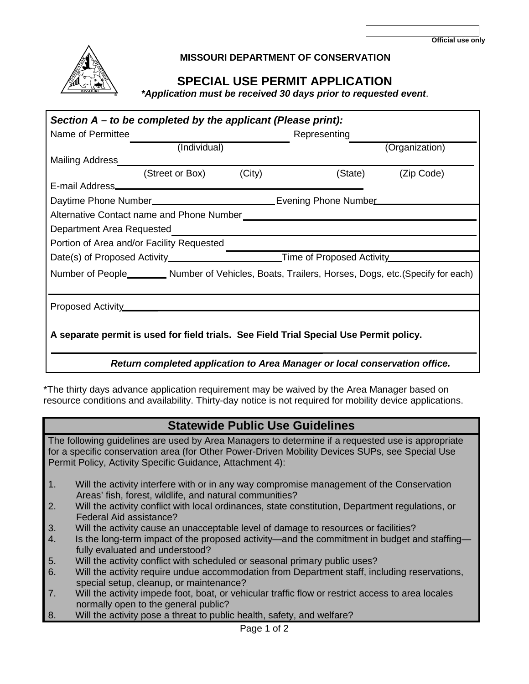

## **MISSOURI DEPARTMENT OF CONSERVATION**

## **SPECIAL USE PERMIT APPLICATION**

 *\*Application must be received 30 days prior to requested event*.

| Section $A - t_0$ be completed by the applicant (Please print):                                      |                        |  |                                                                                        |                    |  |
|------------------------------------------------------------------------------------------------------|------------------------|--|----------------------------------------------------------------------------------------|--------------------|--|
| Name of Permittee                                                                                    |                        |  | Representing                                                                           |                    |  |
|                                                                                                      | (Individual)           |  |                                                                                        | (Organization)     |  |
|                                                                                                      |                        |  |                                                                                        |                    |  |
|                                                                                                      | (Street or Box) (City) |  |                                                                                        | (State) (Zip Code) |  |
|                                                                                                      |                        |  |                                                                                        |                    |  |
| Daytime Phone Number_______________________________Evening Phone Number__________                    |                        |  |                                                                                        |                    |  |
|                                                                                                      |                        |  |                                                                                        |                    |  |
|                                                                                                      |                        |  |                                                                                        |                    |  |
| Portion of Area and/or Facility Requested                                                            |                        |  |                                                                                        |                    |  |
| Date(s) of Proposed Activity_________________________Time of Proposed Activity______________________ |                        |  |                                                                                        |                    |  |
| Number of People__________ Number of Vehicles, Boats, Trailers, Horses, Dogs, etc.(Specify for each) |                        |  |                                                                                        |                    |  |
|                                                                                                      |                        |  |                                                                                        |                    |  |
|                                                                                                      |                        |  | A separate permit is used for field trials. See Field Trial Special Use Permit policy. |                    |  |

 *Return completed application to Area Manager or local conservation office.*

\*The thirty days advance application requirement may be waived by the Area Manager based on resource conditions and availability. Thirty-day notice is not required for mobility device applications.

## **Statewide Public Use Guidelines**

The following guidelines are used by Area Managers to determine if a requested use is appropriate for a specific conservation area (for Other Power-Driven Mobility Devices SUPs, see Special Use Permit Policy, Activity Specific Guidance, Attachment 4):

- 1. Will the activity interfere with or in any way compromise management of the Conservation Areas' fish, forest, wildlife, and natural communities?
- 2. Will the activity conflict with local ordinances, state constitution, Department regulations, or Federal Aid assistance?
- 3. Will the activity cause an unacceptable level of damage to resources or facilities?
- 4. Is the long-term impact of the proposed activity—and the commitment in budget and staffing fully evaluated and understood?
- 5. Will the activity conflict with scheduled or seasonal primary public uses?
- 6. Will the activity require undue accommodation from Department staff, including reservations, special setup, cleanup, or maintenance?
- 7. Will the activity impede foot, boat, or vehicular traffic flow or restrict access to area locales normally open to the general public?
- 8. Will the activity pose a threat to public health, safety, and welfare?